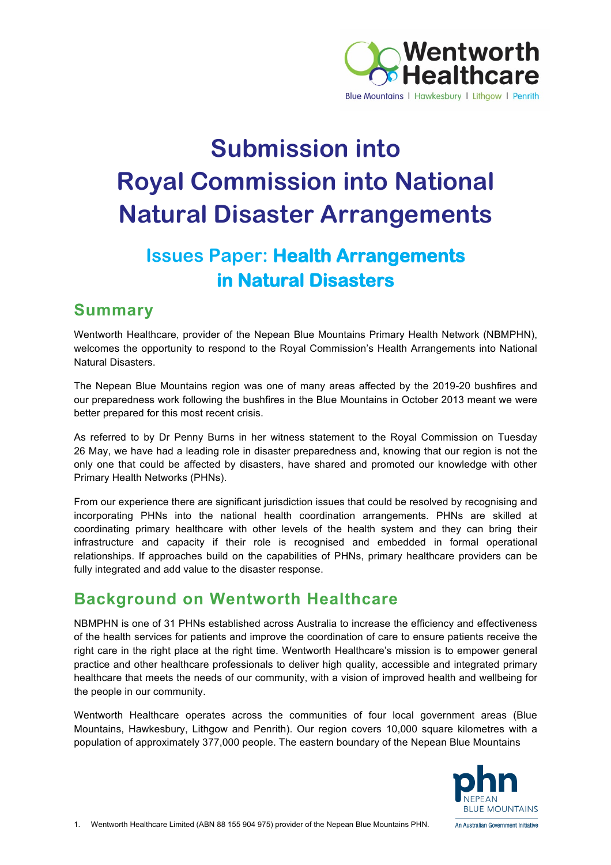

# **Submission into Royal Commission into National Natural Disaster Arrangements**

# **Issues Paper: Health Arrangements in Natural Disasters**

# **Summary**

Wentworth Healthcare, provider of the Nepean Blue Mountains Primary Health Network (NBMPHN), welcomes the opportunity to respond to the Royal Commission's Health Arrangements into National Natural Disasters.

The Nepean Blue Mountains region was one of many areas affected by the 2019-20 bushfires and our preparedness work following the bushfires in the Blue Mountains in October 2013 meant we were better prepared for this most recent crisis.

As referred to by Dr Penny Burns in her witness statement to the Royal Commission on Tuesday 26 May, we have had a leading role in disaster preparedness and, knowing that our region is not the only one that could be affected by disasters, have shared and promoted our knowledge with other Primary Health Networks (PHNs).

From our experience there are significant jurisdiction issues that could be resolved by recognising and incorporating PHNs into the national health coordination arrangements. PHNs are skilled at coordinating primary healthcare with other levels of the health system and they can bring their infrastructure and capacity if their role is recognised and embedded in formal operational relationships. If approaches build on the capabilities of PHNs, primary healthcare providers can be fully integrated and add value to the disaster response.

# **Background on Wentworth Healthcare**

NBMPHN is one of 31 PHNs established across Australia to increase the efficiency and effectiveness of the health services for patients and improve the coordination of care to ensure patients receive the right care in the right place at the right time. Wentworth Healthcare's mission is to empower general practice and other healthcare professionals to deliver high quality, accessible and integrated primary healthcare that meets the needs of our community, with a vision of improved health and wellbeing for the people in our community.

Wentworth Healthcare operates across the communities of four local government areas (Blue Mountains, Hawkesbury, Lithgow and Penrith). Our region covers 10,000 square kilometres with a population of approximately 377,000 people. The eastern boundary of the Nepean Blue Mountains

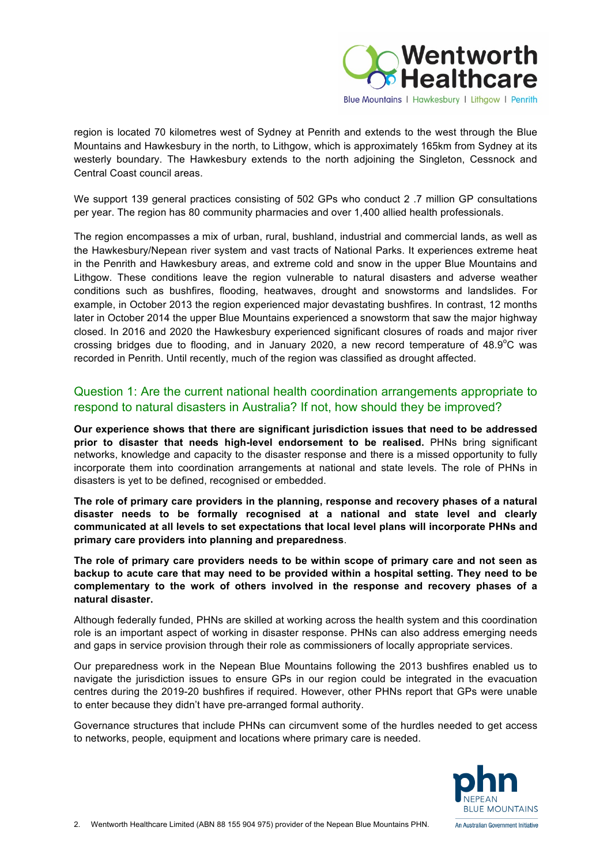

region is located 70 kilometres west of Sydney at Penrith and extends to the west through the Blue Mountains and Hawkesbury in the north, to Lithgow, which is approximately 165km from Sydney at its westerly boundary. The Hawkesbury extends to the north adjoining the Singleton, Cessnock and Central Coast council areas.

We support 139 general practices consisting of 502 GPs who conduct 2 .7 million GP consultations per year. The region has 80 community pharmacies and over 1,400 allied health professionals.

The region encompasses a mix of urban, rural, bushland, industrial and commercial lands, as well as the Hawkesbury/Nepean river system and vast tracts of National Parks. It experiences extreme heat in the Penrith and Hawkesbury areas, and extreme cold and snow in the upper Blue Mountains and Lithgow. These conditions leave the region vulnerable to natural disasters and adverse weather conditions such as bushfires, flooding, heatwaves, drought and snowstorms and landslides. For example, in October 2013 the region experienced major devastating bushfires. In contrast, 12 months later in October 2014 the upper Blue Mountains experienced a snowstorm that saw the major highway closed. In 2016 and 2020 the Hawkesbury experienced significant closures of roads and major river crossing bridges due to flooding, and in January 2020, a new record temperature of  $48.9^{\circ}$ C was recorded in Penrith. Until recently, much of the region was classified as drought affected.

#### Question 1: Are the current national health coordination arrangements appropriate to respond to natural disasters in Australia? If not, how should they be improved?

**Our experience shows that there are significant jurisdiction issues that need to be addressed prior to disaster that needs high-level endorsement to be realised.** PHNs bring significant networks, knowledge and capacity to the disaster response and there is a missed opportunity to fully incorporate them into coordination arrangements at national and state levels. The role of PHNs in disasters is yet to be defined, recognised or embedded.

**The role of primary care providers in the planning, response and recovery phases of a natural disaster needs to be formally recognised at a national and state level and clearly communicated at all levels to set expectations that local level plans will incorporate PHNs and primary care providers into planning and preparedness**.

**The role of primary care providers needs to be within scope of primary care and not seen as backup to acute care that may need to be provided within a hospital setting. They need to be complementary to the work of others involved in the response and recovery phases of a natural disaster.**

Although federally funded, PHNs are skilled at working across the health system and this coordination role is an important aspect of working in disaster response. PHNs can also address emerging needs and gaps in service provision through their role as commissioners of locally appropriate services.

Our preparedness work in the Nepean Blue Mountains following the 2013 bushfires enabled us to navigate the jurisdiction issues to ensure GPs in our region could be integrated in the evacuation centres during the 2019-20 bushfires if required. However, other PHNs report that GPs were unable to enter because they didn't have pre-arranged formal authority.

Governance structures that include PHNs can circumvent some of the hurdles needed to get access to networks, people, equipment and locations where primary care is needed.

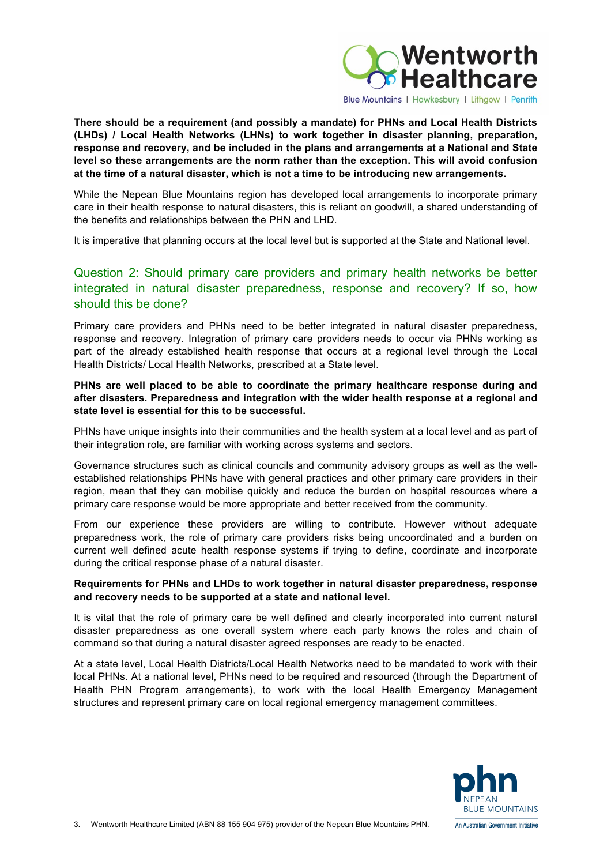

**There should be a requirement (and possibly a mandate) for PHNs and Local Health Districts (LHDs) / Local Health Networks (LHNs) to work together in disaster planning, preparation, response and recovery, and be included in the plans and arrangements at a National and State level so these arrangements are the norm rather than the exception. This will avoid confusion at the time of a natural disaster, which is not a time to be introducing new arrangements.**

While the Nepean Blue Mountains region has developed local arrangements to incorporate primary care in their health response to natural disasters, this is reliant on goodwill, a shared understanding of the benefits and relationships between the PHN and LHD.

It is imperative that planning occurs at the local level but is supported at the State and National level.

#### Question 2: Should primary care providers and primary health networks be better integrated in natural disaster preparedness, response and recovery? If so, how should this be done?

Primary care providers and PHNs need to be better integrated in natural disaster preparedness, response and recovery. Integration of primary care providers needs to occur via PHNs working as part of the already established health response that occurs at a regional level through the Local Health Districts/ Local Health Networks, prescribed at a State level.

#### **PHNs are well placed to be able to coordinate the primary healthcare response during and after disasters. Preparedness and integration with the wider health response at a regional and state level is essential for this to be successful.**

PHNs have unique insights into their communities and the health system at a local level and as part of their integration role, are familiar with working across systems and sectors.

Governance structures such as clinical councils and community advisory groups as well as the wellestablished relationships PHNs have with general practices and other primary care providers in their region, mean that they can mobilise quickly and reduce the burden on hospital resources where a primary care response would be more appropriate and better received from the community.

From our experience these providers are willing to contribute. However without adequate preparedness work, the role of primary care providers risks being uncoordinated and a burden on current well defined acute health response systems if trying to define, coordinate and incorporate during the critical response phase of a natural disaster.

#### **Requirements for PHNs and LHDs to work together in natural disaster preparedness, response and recovery needs to be supported at a state and national level.**

It is vital that the role of primary care be well defined and clearly incorporated into current natural disaster preparedness as one overall system where each party knows the roles and chain of command so that during a natural disaster agreed responses are ready to be enacted.

At a state level, Local Health Districts/Local Health Networks need to be mandated to work with their local PHNs. At a national level, PHNs need to be required and resourced (through the Department of Health PHN Program arrangements), to work with the local Health Emergency Management structures and represent primary care on local regional emergency management committees.

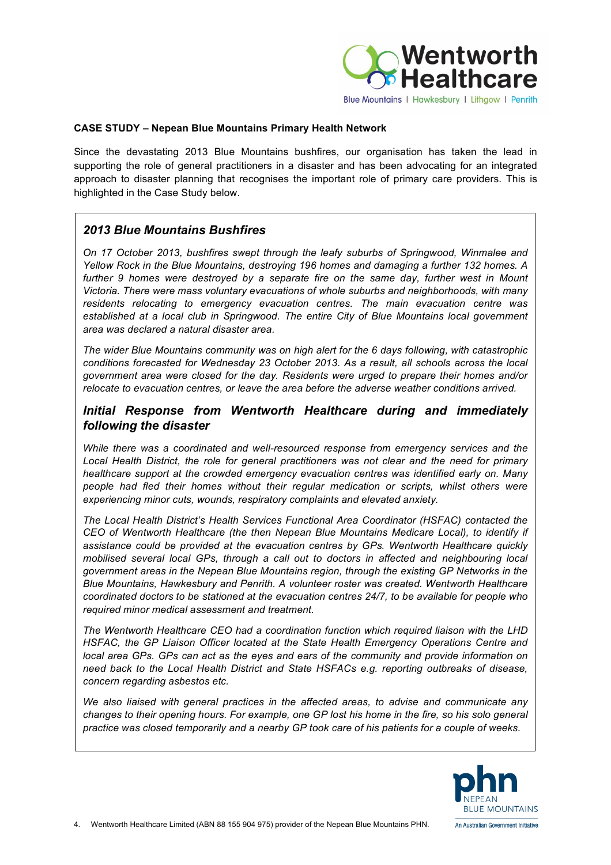

#### **CASE STUDY – Nepean Blue Mountains Primary Health Network**

Since the devastating 2013 Blue Mountains bushfires, our organisation has taken the lead in supporting the role of general practitioners in a disaster and has been advocating for an integrated approach to disaster planning that recognises the important role of primary care providers. This is highlighted in the Case Study below.

#### *2013 Blue Mountains Bushfires*

*On 17 October 2013, bushfires swept through the leafy suburbs of Springwood, Winmalee and Yellow Rock in the Blue Mountains, destroying 196 homes and damaging a further 132 homes. A further 9 homes were destroyed by a separate fire on the same day, further west in Mount Victoria. There were mass voluntary evacuations of whole suburbs and neighborhoods, with many residents relocating to emergency evacuation centres. The main evacuation centre was established at a local club in Springwood. The entire City of Blue Mountains local government area was declared a natural disaster area.* 

*The wider Blue Mountains community was on high alert for the 6 days following, with catastrophic conditions forecasted for Wednesday 23 October 2013. As a result, all schools across the local government area were closed for the day. Residents were urged to prepare their homes and/or relocate to evacuation centres, or leave the area before the adverse weather conditions arrived.* 

#### *Initial Response from Wentworth Healthcare during and immediately following the disaster*

*While there was a coordinated and well-resourced response from emergency services and the Local Health District, the role for general practitioners was not clear and the need for primary healthcare support at the crowded emergency evacuation centres was identified early on. Many people had fled their homes without their regular medication or scripts, whilst others were experiencing minor cuts, wounds, respiratory complaints and elevated anxiety.* 

*The Local Health District's Health Services Functional Area Coordinator (HSFAC) contacted the CEO of Wentworth Healthcare (the then Nepean Blue Mountains Medicare Local), to identify if assistance could be provided at the evacuation centres by GPs. Wentworth Healthcare quickly mobilised several local GPs, through a call out to doctors in affected and neighbouring local government areas in the Nepean Blue Mountains region, through the existing GP Networks in the Blue Mountains, Hawkesbury and Penrith. A volunteer roster was created. Wentworth Healthcare coordinated doctors to be stationed at the evacuation centres 24/7, to be available for people who required minor medical assessment and treatment.* 

*The Wentworth Healthcare CEO had a coordination function which required liaison with the LHD HSFAC, the GP Liaison Officer located at the State Health Emergency Operations Centre and local area GPs. GPs can act as the eyes and ears of the community and provide information on need back to the Local Health District and State HSFACs e.g. reporting outbreaks of disease, concern regarding asbestos etc.* 

*We also liaised with general practices in the affected areas, to advise and communicate any changes to their opening hours. For example, one GP lost his home in the fire, so his solo general practice was closed temporarily and a nearby GP took care of his patients for a couple of weeks.* 

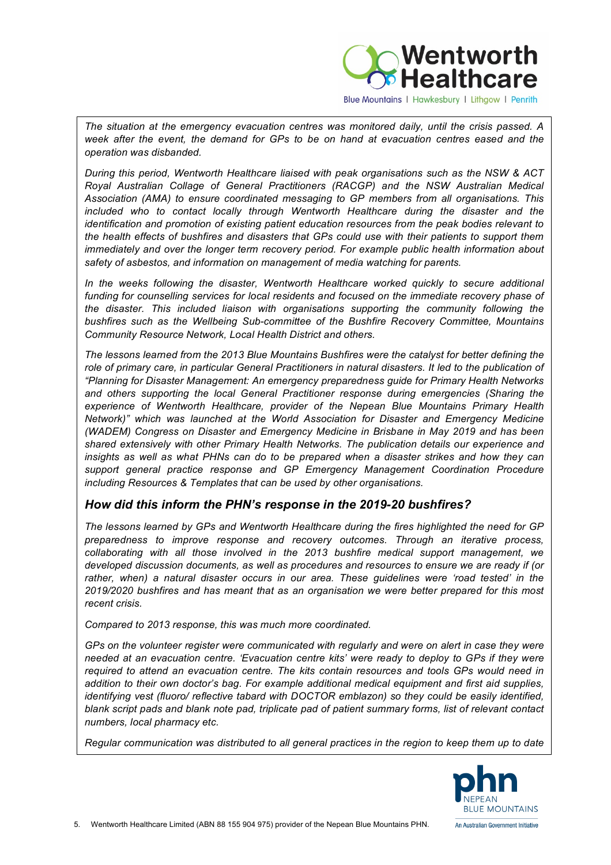

Blue Mountains | Hawkesbury | Lithgow | Penrith

*The situation at the emergency evacuation centres was monitored daily, until the crisis passed. A week after the event, the demand for GPs to be on hand at evacuation centres eased and the operation was disbanded.* 

*During this period, Wentworth Healthcare liaised with peak organisations such as the NSW & ACT Royal Australian Collage of General Practitioners (RACGP) and the NSW Australian Medical Association (AMA) to ensure coordinated messaging to GP members from all organisations. This included who to contact locally through Wentworth Healthcare during the disaster and the identification and promotion of existing patient education resources from the peak bodies relevant to the health effects of bushfires and disasters that GPs could use with their patients to support them immediately and over the longer term recovery period. For example public health information about safety of asbestos, and information on management of media watching for parents.*

In the weeks following the disaster, Wentworth Healthcare worked quickly to secure additional *funding for counselling services for local residents and focused on the immediate recovery phase of the disaster. This included liaison with organisations supporting the community following the bushfires such as the Wellbeing Sub-committee of the Bushfire Recovery Committee, Mountains Community Resource Network, Local Health District and others.* 

*The lessons learned from the 2013 Blue Mountains Bushfires were the catalyst for better defining the*  role of primary care, in particular General Practitioners in natural disasters. It led to the publication of *"Planning for Disaster Management: An emergency preparedness guide for Primary Health Networks and others supporting the local General Practitioner response during emergencies (Sharing the experience of Wentworth Healthcare, provider of the Nepean Blue Mountains Primary Health Network)" which was launched at the World Association for Disaster and Emergency Medicine (WADEM) Congress on Disaster and Emergency Medicine in Brisbane in May 2019 and has been shared extensively with other Primary Health Networks. The publication details our experience and insights as well as what PHNs can do to be prepared when a disaster strikes and how they can support general practice response and GP Emergency Management Coordination Procedure including Resources & Templates that can be used by other organisations.*

#### *How did this inform the PHN's response in the 2019-20 bushfires?*

*The lessons learned by GPs and Wentworth Healthcare during the fires highlighted the need for GP preparedness to improve response and recovery outcomes. Through an iterative process, collaborating with all those involved in the 2013 bushfire medical support management, we developed discussion documents, as well as procedures and resources to ensure we are ready if (or rather, when) a natural disaster occurs in our area. These guidelines were 'road tested' in the 2019/2020 bushfires and has meant that as an organisation we were better prepared for this most recent crisis.*

*Compared to 2013 response, this was much more coordinated.*

GPs on the volunteer register were communicated with regularly and were on alert in case they were *needed at an evacuation centre. 'Evacuation centre kits' were ready to deploy to GPs if they were required to attend an evacuation centre. The kits contain resources and tools GPs would need in addition to their own doctor's bag. For example additional medical equipment and first aid supplies, identifying vest (fluoro/ reflective tabard with DOCTOR emblazon) so they could be easily identified, blank script pads and blank note pad, triplicate pad of patient summary forms, list of relevant contact numbers, local pharmacy etc.*

*Regular communication was distributed to all general practices in the region to keep them up to date* 

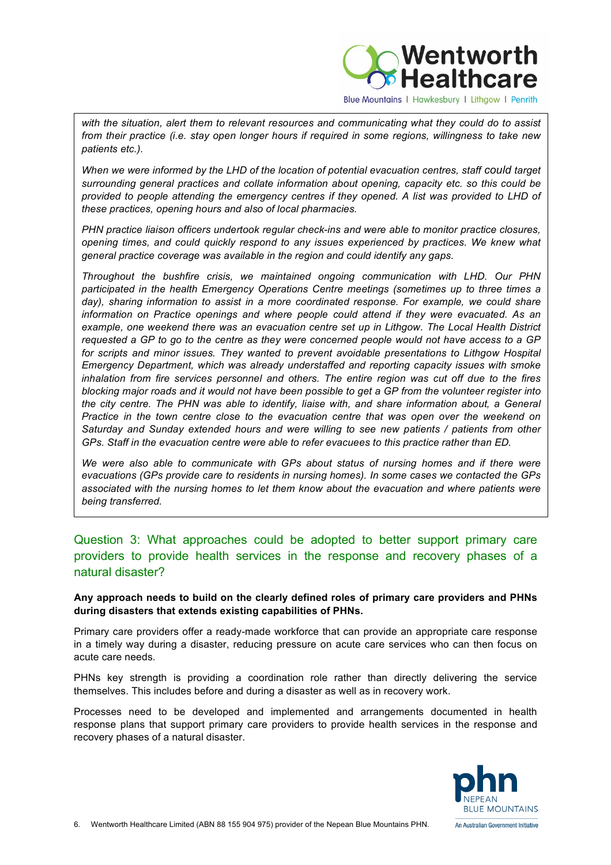

*with the situation, alert them to relevant resources and communicating what they could do to assist from their practice (i.e. stay open longer hours if required in some regions, willingness to take new patients etc.).* 

*When we were informed by the LHD of the location of potential evacuation centres, staff could target surrounding general practices and collate information about opening, capacity etc. so this could be provided to people attending the emergency centres if they opened. A list was provided to LHD of these practices, opening hours and also of local pharmacies.*

*PHN practice liaison officers undertook regular check-ins and were able to monitor practice closures, opening times, and could quickly respond to any issues experienced by practices. We knew what general practice coverage was available in the region and could identify any gaps.* 

*Throughout the bushfire crisis, we maintained ongoing communication with LHD. Our PHN participated in the health Emergency Operations Centre meetings (sometimes up to three times a*  day), sharing information to assist in a more coordinated response. For example, we could share *information on Practice openings and where people could attend if they were evacuated. As an example, one weekend there was an evacuation centre set up in Lithgow. The Local Health District requested a GP to go to the centre as they were concerned people would not have access to a GP for scripts and minor issues. They wanted to prevent avoidable presentations to Lithgow Hospital Emergency Department, which was already understaffed and reporting capacity issues with smoke inhalation from fire services personnel and others. The entire region was cut off due to the fires blocking major roads and it would not have been possible to get a GP from the volunteer register into the city centre. The PHN was able to identify, liaise with, and share information about, a General Practice in the town centre close to the evacuation centre that was open over the weekend on Saturday and Sunday extended hours and were willing to see new patients / patients from other GPs. Staff in the evacuation centre were able to refer evacuees to this practice rather than ED.*

*We were also able to communicate with GPs about status of nursing homes and if there were evacuations (GPs provide care to residents in nursing homes). In some cases we contacted the GPs associated with the nursing homes to let them know about the evacuation and where patients were being transferred.*

#### Question 3: What approaches could be adopted to better support primary care providers to provide health services in the response and recovery phases of a natural disaster?

**Any approach needs to build on the clearly defined roles of primary care providers and PHNs during disasters that extends existing capabilities of PHNs.** 

Primary care providers offer a ready-made workforce that can provide an appropriate care response in a timely way during a disaster, reducing pressure on acute care services who can then focus on acute care needs.

PHNs key strength is providing a coordination role rather than directly delivering the service themselves. This includes before and during a disaster as well as in recovery work.

Processes need to be developed and implemented and arrangements documented in health response plans that support primary care providers to provide health services in the response and recovery phases of a natural disaster.

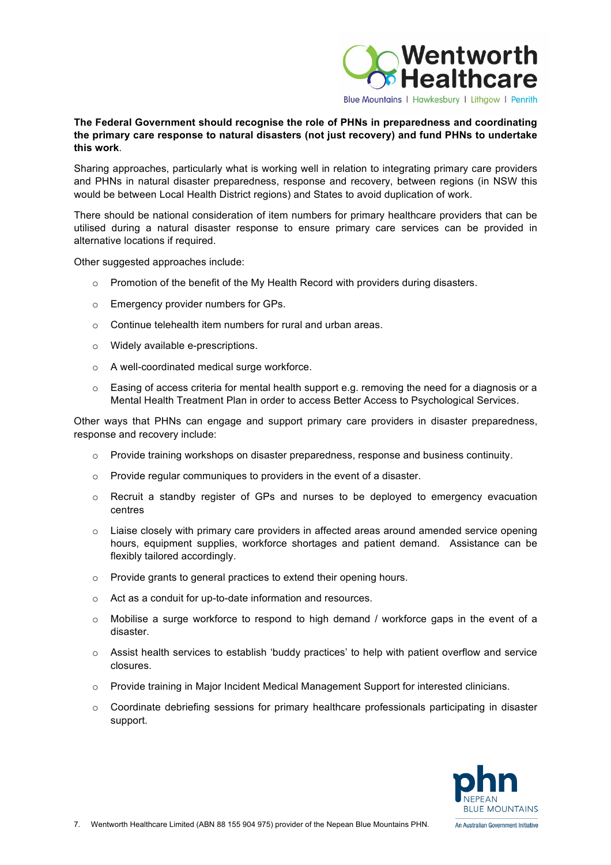

#### **The Federal Government should recognise the role of PHNs in preparedness and coordinating the primary care response to natural disasters (not just recovery) and fund PHNs to undertake this work**.

Sharing approaches, particularly what is working well in relation to integrating primary care providers and PHNs in natural disaster preparedness, response and recovery, between regions (in NSW this would be between Local Health District regions) and States to avoid duplication of work.

There should be national consideration of item numbers for primary healthcare providers that can be utilised during a natural disaster response to ensure primary care services can be provided in alternative locations if required.

Other suggested approaches include:

- $\circ$  Promotion of the benefit of the My Health Record with providers during disasters.
- o Emergency provider numbers for GPs.
- o Continue telehealth item numbers for rural and urban areas.
- o Widely available e-prescriptions.
- o A well-coordinated medical surge workforce.
- o Easing of access criteria for mental health support e.g. removing the need for a diagnosis or a Mental Health Treatment Plan in order to access Better Access to Psychological Services.

Other ways that PHNs can engage and support primary care providers in disaster preparedness, response and recovery include:

- o Provide training workshops on disaster preparedness, response and business continuity.
- o Provide regular communiques to providers in the event of a disaster.
- o Recruit a standby register of GPs and nurses to be deployed to emergency evacuation centres
- $\circ$  Liaise closely with primary care providers in affected areas around amended service opening hours, equipment supplies, workforce shortages and patient demand. Assistance can be flexibly tailored accordingly.
- o Provide grants to general practices to extend their opening hours.
- o Act as a conduit for up-to-date information and resources.
- o Mobilise a surge workforce to respond to high demand / workforce gaps in the event of a disaster.
- $\circ$  Assist health services to establish 'buddy practices' to help with patient overflow and service closures.
- o Provide training in Major Incident Medical Management Support for interested clinicians.
- $\circ$  Coordinate debriefing sessions for primary healthcare professionals participating in disaster support.